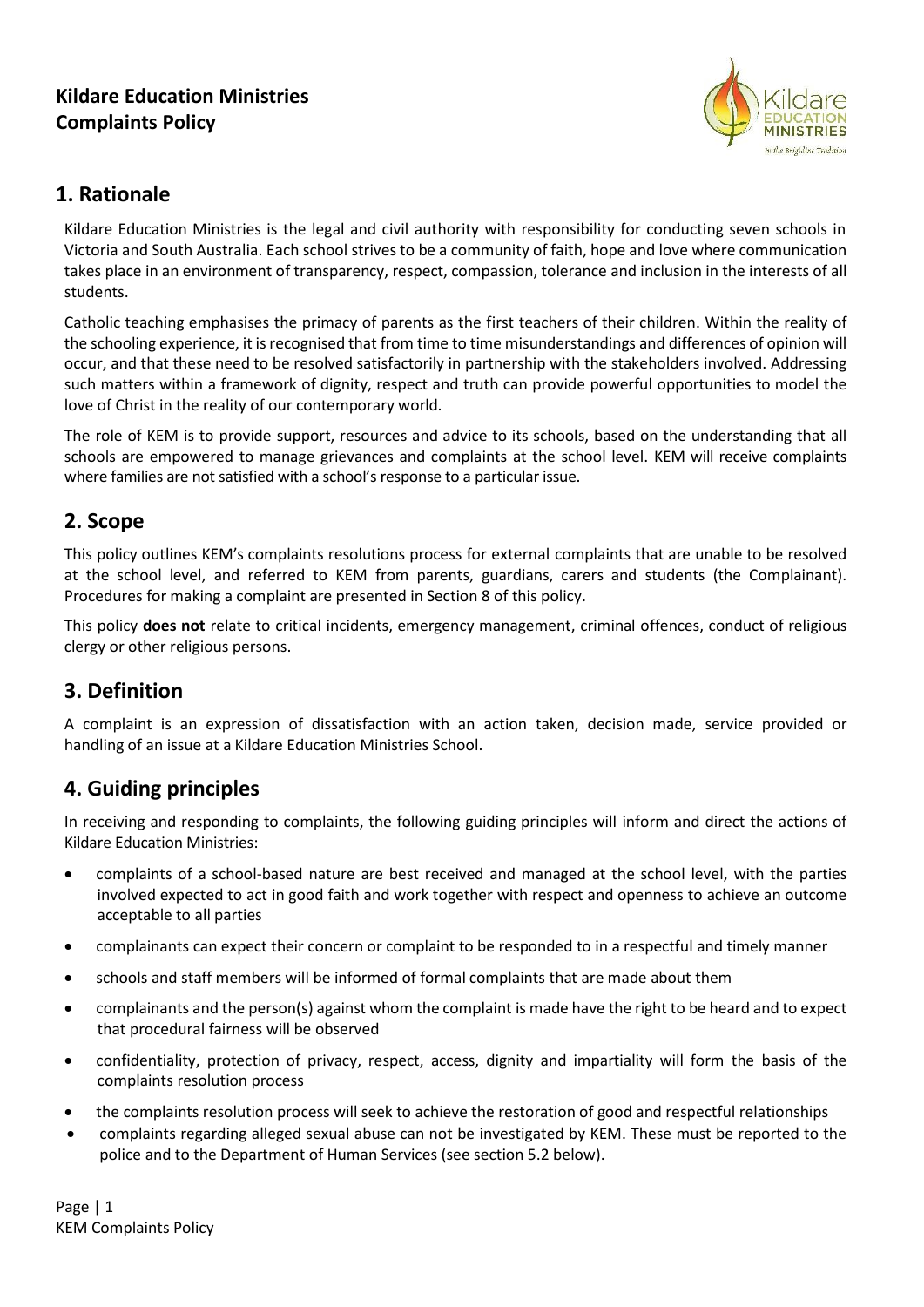## **Kildare Education Ministries Complaints Policy**



### **1. Rationale**

Kildare Education Ministries is the legal and civil authority with responsibility for conducting seven schools in Victoria and South Australia. Each school strives to be a community of faith, hope and love where communication takes place in an environment of transparency, respect, compassion, tolerance and inclusion in the interests of all students.

Catholic teaching emphasises the primacy of parents as the first teachers of their children. Within the reality of the schooling experience, it isrecognised that from time to time misunderstandings and differences of opinion will occur, and that these need to be resolved satisfactorily in partnership with the stakeholders involved. Addressing such matters within a framework of dignity, respect and truth can provide powerful opportunities to model the love of Christ in the reality of our contemporary world.

The role of KEM is to provide support, resources and advice to its schools, based on the understanding that all schools are empowered to manage grievances and complaints at the school level. KEM will receive complaints where families are not satisfied with a school's response to a particular issue.

## **2. Scope**

This policy outlines KEM's complaints resolutions process for external complaints that are unable to be resolved at the school level, and referred to KEM from parents, guardians, carers and students (the Complainant). Procedures for making a complaint are presented in Section 8 of this policy.

This policy **does not** relate to critical incidents, emergency management, criminal offences, conduct of religious clergy or other religious persons.

# **3. Definition**

A complaint is an expression of dissatisfaction with an action taken, decision made, service provided or handling of an issue at a Kildare Education Ministries School.

## **4. Guiding principles**

In receiving and responding to complaints, the following guiding principles will inform and direct the actions of Kildare Education Ministries:

- complaints of a school-based nature are best received and managed at the school level, with the parties involved expected to act in good faith and work together with respect and openness to achieve an outcome acceptable to all parties
- complainants can expect their concern or complaint to be responded to in a respectful and timely manner
- schools and staff members will be informed of formal complaints that are made about them
- complainants and the person(s) against whom the complaint is made have the right to be heard and to expect that procedural fairness will be observed
- confidentiality, protection of privacy, respect, access, dignity and impartiality will form the basis of the complaints resolution process
- the complaints resolution process will seek to achieve the restoration of good and respectful relationships
- complaints regarding alleged sexual abuse can not be investigated by KEM. These must be reported to the police and to the Department of Human Services (see section 5.2 below).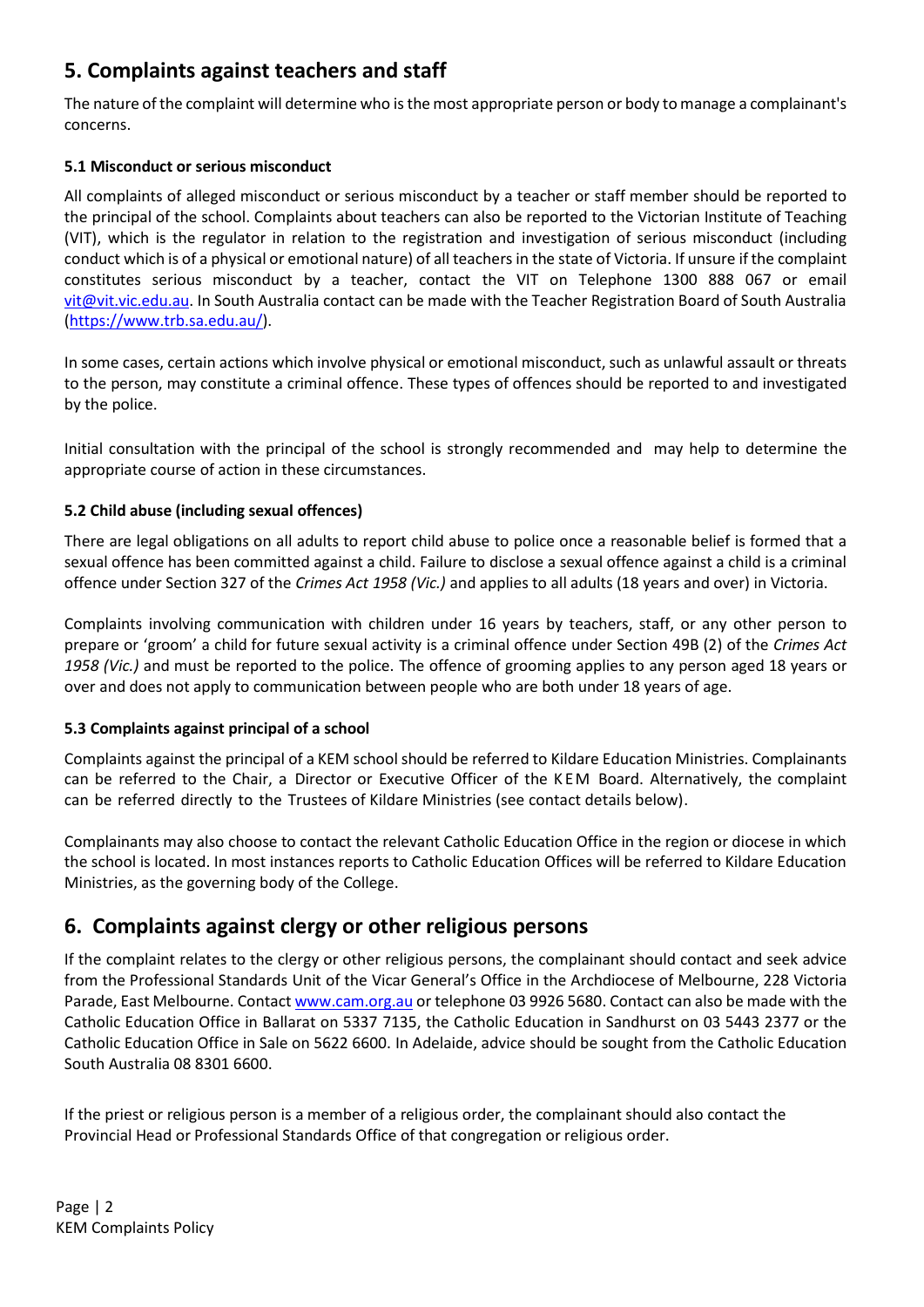# **5. Complaints against teachers and staff**

The nature of the complaint will determine who isthe most appropriate person or body to manage a complainant's concerns.

### **5.1 Misconduct or serious misconduct**

All complaints of alleged misconduct or serious misconduct by a teacher or staff member should be reported to the principal of the school. Complaints about teachers can also be reported to the Victorian Institute of Teaching (VIT), which is the regulator in relation to the registration and investigation of serious misconduct (including conduct which is of a physical or emotional nature) of all teachers in the state of Victoria. If unsure if the complaint constitutes serious misconduct by a teacher, contact the VIT on Telephone 1300 888 067 or email [vit@vit.vic.edu.au.](mailto:vit@vit.vic.edu.au) In South Australia contact can be made with the Teacher Registration Board of South Australia [\(https://www.trb.sa.edu.au/\)](https://www.trb.sa.edu.au/).

In some cases, certain actions which involve physical or emotional misconduct, such as unlawful assault or threats to the person, may constitute a criminal offence. These types of offences should be reported to and investigated by the police.

Initial consultation with the principal of the school is strongly recommended and may help to determine the appropriate course of action in these circumstances.

### **5.2 Child abuse (including sexual offences)**

There are legal obligations on all adults to report child abuse to police once a reasonable belief is formed that a sexual offence has been committed against a child. Failure to disclose a sexual offence against a child is a criminal offence under Section 327 of the *Crimes Act 1958 (Vic.)* and applies to all adults (18 years and over) in Victoria.

Complaints involving communication with children under 16 years by teachers, staff, or any other person to prepare or 'groom' a child for future sexual activity is a criminal offence under Section 49B (2) of the *Crimes Act 1958 (Vic.)* and must be reported to the police. The offence of grooming applies to any person aged 18 years or over and does not apply to communication between people who are both under 18 years of age.

#### **5.3 Complaints against principal of a school**

Complaints against the principal of a KEM school should be referred to Kildare Education Ministries. Complainants can be referred to the Chair, a Director or Executive Officer of the K E M Board. Alternatively, the complaint can be referred directly to the Trustees of Kildare Ministries (see contact details below).

Complainants may also choose to contact the relevant Catholic Education Office in the region or diocese in which the school is located. In most instances reports to Catholic Education Offices will be referred to Kildare Education Ministries, as the governing body of the College.

### **6. Complaints against clergy or other religious persons**

If the complaint relates to the clergy or other religious persons, the complainant should contact and seek advice from the Professional Standards Unit of the Vicar General's Office in the Archdiocese of Melbourne, 228 Victoria Parade, East Melbourne. Contac[t www.cam.org.au](http://www.cam.org.au/) or telephone 03 9926 5680. Contact can also be made with the Catholic Education Office in Ballarat on 5337 7135, the Catholic Education in Sandhurst on 03 5443 2377 or the Catholic Education Office in Sale on 5622 6600. In Adelaide, advice should be sought from the Catholic Education South Australia 08 8301 6600.

If the priest or religious person is a member of a religious order, the complainant should also contact the Provincial Head or Professional Standards Office of that congregation or religious order.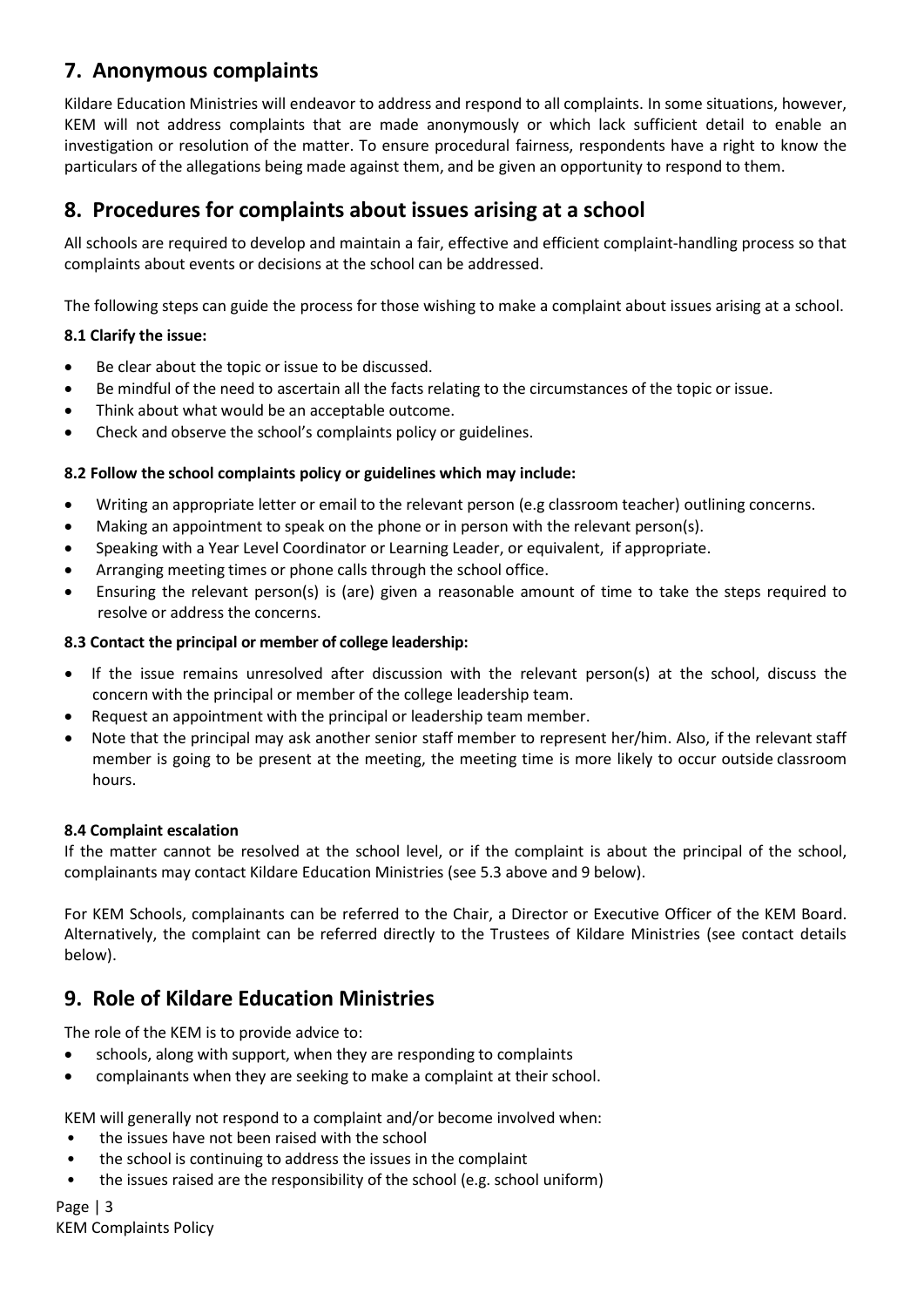# **7. Anonymous complaints**

Kildare Education Ministries will endeavor to address and respond to all complaints. In some situations, however, KEM will not address complaints that are made anonymously or which lack sufficient detail to enable an investigation or resolution of the matter. To ensure procedural fairness, respondents have a right to know the particulars of the allegations being made against them, and be given an opportunity to respond to them.

# **8. Procedures for complaints about issues arising at a school**

All schools are required to develop and maintain a fair, effective and efficient complaint-handling process so that complaints about events or decisions at the school can be addressed.

The following steps can guide the process for those wishing to make a complaint about issues arising at a school.

### **8.1 Clarify the issue:**

- Be clear about the topic or issue to be discussed.
- Be mindful of the need to ascertain all the facts relating to the circumstances of the topic or issue.
- Think about what would be an acceptable outcome.
- Check and observe the school's complaints policy or guidelines.

### **8.2 Follow the school complaints policy or guidelines which may include:**

- Writing an appropriate letter or email to the relevant person (e.g classroom teacher) outlining concerns.
- Making an appointment to speak on the phone or in person with the relevant person(s).
- Speaking with a Year Level Coordinator or Learning Leader, or equivalent, if appropriate.
- Arranging meeting times or phone calls through the school office.
- Ensuring the relevant person(s) is (are) given a reasonable amount of time to take the steps required to resolve or address the concerns.

### **8.3 Contact the principal or member of college leadership:**

- If the issue remains unresolved after discussion with the relevant person(s) at the school, discuss the concern with the principal or member of the college leadership team.
- Request an appointment with the principal or leadership team member.
- Note that the principal may ask another senior staff member to represent her/him. Also, if the relevant staff member is going to be present at the meeting, the meeting time is more likely to occur outside classroom hours.

#### **8.4 Complaint escalation**

If the matter cannot be resolved at the school level, or if the complaint is about the principal of the school, complainants may contact Kildare Education Ministries (see 5.3 above and 9 below).

For KEM Schools, complainants can be referred to the Chair, a Director or Executive Officer of the KEM Board. Alternatively, the complaint can be referred directly to the Trustees of Kildare Ministries (see contact details below).

## **9. Role of Kildare Education Ministries**

The role of the KEM is to provide advice to:

- schools, along with support, when they are responding to complaints
- complainants when they are seeking to make a complaint at their school.

KEM will generally not respond to a complaint and/or become involved when:

- the issues have not been raised with the school
- the school is continuing to address the issues in the complaint
- the issues raised are the responsibility of the school (e.g. school uniform)

Page | 3 KEM Complaints Policy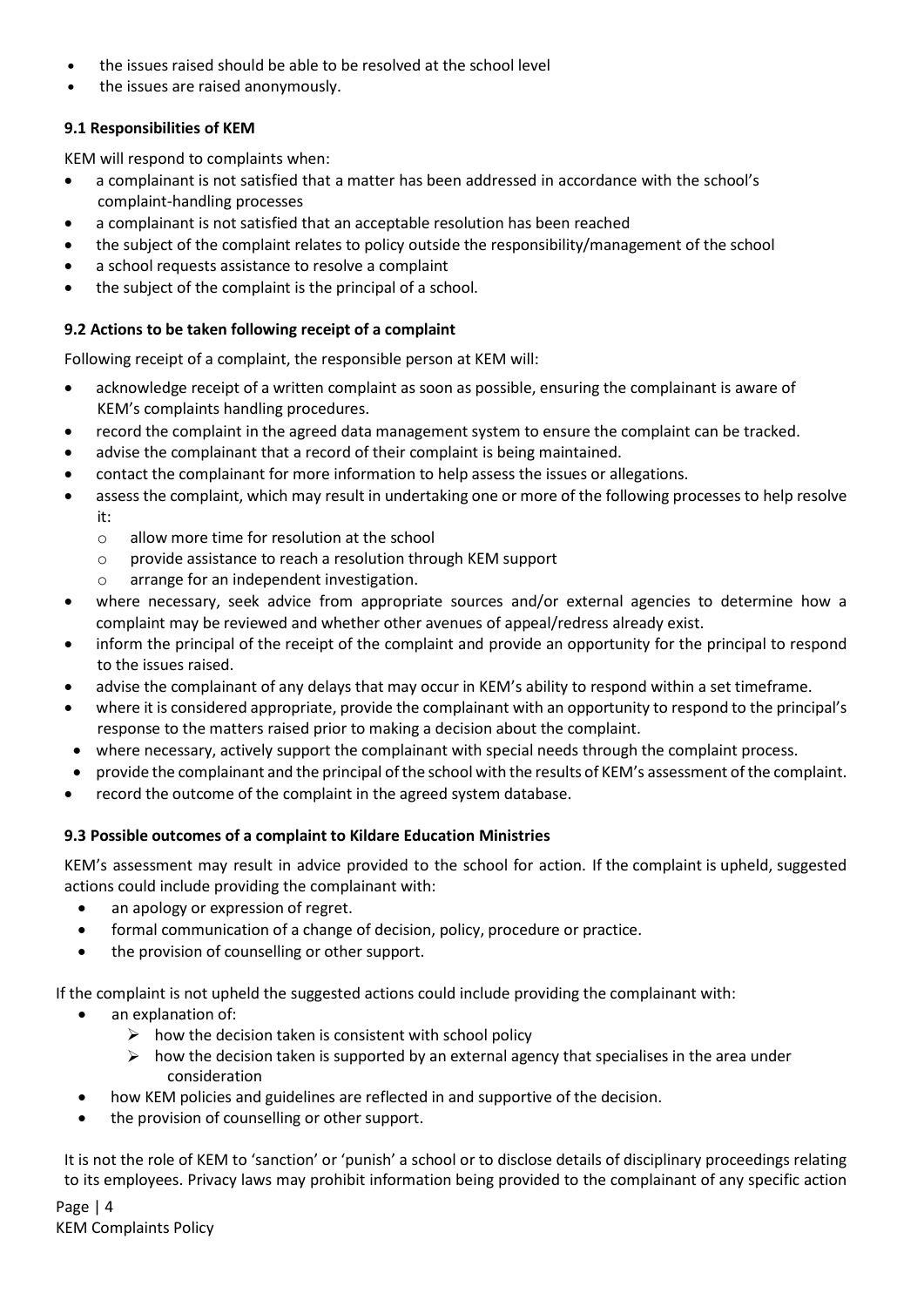- the issues raised should be able to be resolved at the school level
- the issues are raised anonymously.

### **9.1 Responsibilities of KEM**

[KEM will respond to](http://www.education.vic.gov.au/about/programs/needs/Pages/disabilityprogram.aspx) complaints when:

- a complainant is not satisfied that a matter has been addressed in accordance with the school's complaint-handling processes
- a complainant is not satisfied that an acceptable resolution has been reached
- the subject of the complaint relates to policy outside the responsibility/management of the school
- a school requests assistance to resolve a complaint
- the subject of the complaint [is the principal of](http://www.education.vic.gov.au/about/programs/needs/Pages/disabilityprogram.aspx) a school.

#### **9.2 Actions to be taken following receipt of a complaint**

Following receipt of a complaint, the responsible person at KEM will:

- acknowledge receipt of a written complaint as soon as possible, ensuring the complainant is aware of KEM's complaints handling procedures.
- record the complaint in the agreed data management system to ensure the complaint can be tracked.
- advise the complainant that a record of their complaint is being maintained.
- contact the complainant for more information to help assess the issues or allegations.
- assess the complaint, which may result in undertaking one or more of the following processes to help resolve it:
	- o allow more time for resolution at the school
	- o provide assistance to reach a resolution through KEM support
	- o arrange for an independent investigation.
- where necessary, seek advice from appropriate sources and/or external agencies to determine how a complaint may be reviewed and whether other avenues of appeal/redress already exist.
- inform the principal of the receipt of the complaint and provide an opportunity for the principal to respond to the issues raised.
- advise the complainant of any delays that may occur in KEM's ability to respond within a set timeframe.
- where it is considered appropriate, provide the complainant with an opportunity to respond to the principal's response to the matters raised prior to making a decision about the complaint.
- where necessary, actively support the complainant with special needs through the complaint process.
- provide the complainant and the principal ofthe school with the results of KEM's assessment ofthe complaint.
- record the outcome of the complaint in the agreed system database.

#### **9.3 Possible outcomes of a complaint to Kildare Education Ministries**

KEM's assessment may result in advice provided to the school for action. If the complaint is upheld, suggested actions could include providing the complainant with:

- an apology or expression of regret.
- formal communication of a change of decision, policy, procedure or practice.
- the provision of counselling or other support.

If the complaint is not upheld the suggested actions could include providing the complainant with:

- an explanation of:
	- $\triangleright$  how the decision taken is consistent with school policy
	- $\triangleright$  how the decision taken is supported by an external agency that specialises in the area under consideration
- how KEM policies and guidelines are reflected in and supportive of the decision.
- the provision of counselling or other support.

It is not the role of KEM to 'sanction' or 'punish' a school or to disclose details of disciplinary proceedings relating to its employees. Privacy laws may prohibit information being provided to the complainant of any specific action